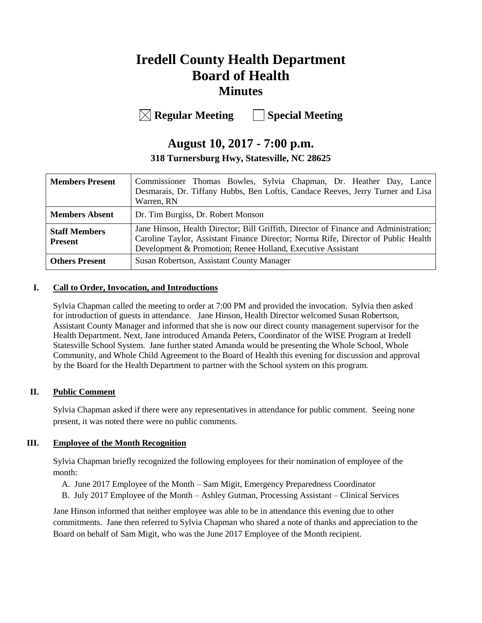# **Iredell County Health Department Board of Health Minutes**

**Regular Meeting Special Meeting**

# **August 10, 2017 - 7:00 p.m.**

**318 Turnersburg Hwy, Statesville, NC 28625**

| <b>Members Present</b>                 | Commissioner Thomas Bowles, Sylvia Chapman, Dr. Heather Day, Lance<br>Desmarais, Dr. Tiffany Hubbs, Ben Loftis, Candace Reeves, Jerry Turner and Lisa<br>Warren, RN                                                                       |  |  |
|----------------------------------------|-------------------------------------------------------------------------------------------------------------------------------------------------------------------------------------------------------------------------------------------|--|--|
| <b>Members Absent</b>                  | Dr. Tim Burgiss, Dr. Robert Monson                                                                                                                                                                                                        |  |  |
| <b>Staff Members</b><br><b>Present</b> | Jane Hinson, Health Director; Bill Griffith, Director of Finance and Administration;<br>Caroline Taylor, Assistant Finance Director; Norma Rife, Director of Public Health<br>Development & Promotion; Renee Holland, Executive Assistant |  |  |
| <b>Others Present</b>                  | Susan Robertson, Assistant County Manager                                                                                                                                                                                                 |  |  |

## **I. Call to Order, Invocation, and Introductions**

Sylvia Chapman called the meeting to order at 7:00 PM and provided the invocation. Sylvia then asked for introduction of guests in attendance. Jane Hinson, Health Director welcomed Susan Robertson, Assistant County Manager and informed that she is now our direct county management supervisor for the Health Department. Next, Jane introduced Amanda Peters, Coordinator of the WISE Program at Iredell Statesville School System. Jane further stated Amanda would be presenting the Whole School, Whole Community, and Whole Child Agreement to the Board of Health this evening for discussion and approval by the Board for the Health Department to partner with the School system on this program.

## **II. Public Comment**

Sylvia Chapman asked if there were any representatives in attendance for public comment. Seeing none present, it was noted there were no public comments.

## **III. Employee of the Month Recognition**

Sylvia Chapman briefly recognized the following employees for their nomination of employee of the month:

- A. June 2017 Employee of the Month Sam Migit, Emergency Preparedness Coordinator
- B. July 2017 Employee of the Month Ashley Gutman, Processing Assistant Clinical Services

Jane Hinson informed that neither employee was able to be in attendance this evening due to other commitments. Jane then referred to Sylvia Chapman who shared a note of thanks and appreciation to the Board on behalf of Sam Migit, who was the June 2017 Employee of the Month recipient.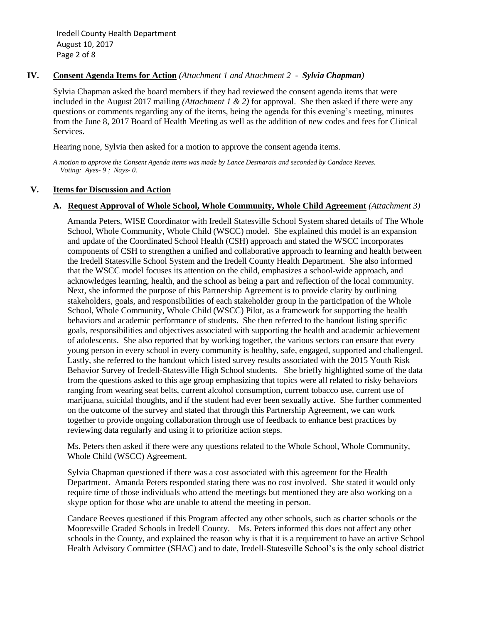## **IV. Consent Agenda Items for Action** *(Attachment 1 and Attachment 2 - Sylvia Chapman)*

Sylvia Chapman asked the board members if they had reviewed the consent agenda items that were included in the August 2017 mailing *(Attachment 1 & 2)* for approval. She then asked if there were any questions or comments regarding any of the items, being the agenda for this evening's meeting, minutes from the June 8, 2017 Board of Health Meeting as well as the addition of new codes and fees for Clinical Services.

Hearing none, Sylvia then asked for a motion to approve the consent agenda items.

*A motion to approve the Consent Agenda items was made by Lance Desmarais and seconded by Candace Reeves. Voting: Ayes- 9 ; Nays- 0.*

## **V. Items for Discussion and Action**

## **A. Request Approval of Whole School, Whole Community, Whole Child Agreement** *(Attachment 3)*

Amanda Peters, WISE Coordinator with Iredell Statesville School System shared details of The Whole School, Whole Community, Whole Child (WSCC) model. She explained this model is an expansion and update of the Coordinated School Health (CSH) approach and stated the WSCC incorporates components of CSH to strengthen a unified and collaborative approach to learning and health between the Iredell Statesville School System and the Iredell County Health Department. She also informed that the WSCC model focuses its attention on the child, emphasizes a school-wide approach, and acknowledges learning, health, and the school as being a part and reflection of the local community. Next, she informed the purpose of this Partnership Agreement is to provide clarity by outlining stakeholders, goals, and responsibilities of each stakeholder group in the participation of the Whole School, Whole Community, Whole Child (WSCC) Pilot, as a framework for supporting the health behaviors and academic performance of students. She then referred to the handout listing specific goals, responsibilities and objectives associated with supporting the health and academic achievement of adolescents. She also reported that by working together, the various sectors can ensure that every young person in every school in every community is healthy, safe, engaged, supported and challenged. Lastly, she referred to the handout which listed survey results associated with the 2015 Youth Risk Behavior Survey of Iredell-Statesville High School students. She briefly highlighted some of the data from the questions asked to this age group emphasizing that topics were all related to risky behaviors ranging from wearing seat belts, current alcohol consumption, current tobacco use, current use of marijuana, suicidal thoughts, and if the student had ever been sexually active. She further commented on the outcome of the survey and stated that through this Partnership Agreement, we can work together to provide ongoing collaboration through use of feedback to enhance best practices by reviewing data regularly and using it to prioritize action steps.

Ms. Peters then asked if there were any questions related to the Whole School, Whole Community, Whole Child (WSCC) Agreement.

Sylvia Chapman questioned if there was a cost associated with this agreement for the Health Department. Amanda Peters responded stating there was no cost involved. She stated it would only require time of those individuals who attend the meetings but mentioned they are also working on a skype option for those who are unable to attend the meeting in person.

Candace Reeves questioned if this Program affected any other schools, such as charter schools or the Mooresville Graded Schools in Iredell County. Ms. Peters informed this does not affect any other schools in the County, and explained the reason why is that it is a requirement to have an active School Health Advisory Committee (SHAC) and to date, Iredell-Statesville School's is the only school district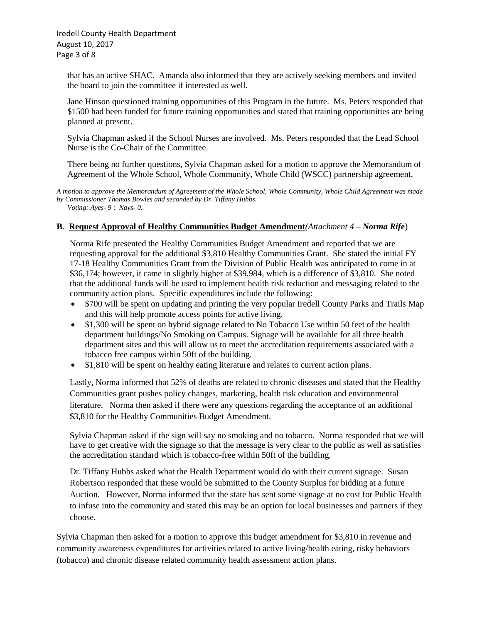Iredell County Health Department August 10, 2017 Page 3 of 8

that has an active SHAC. Amanda also informed that they are actively seeking members and invited the board to join the committee if interested as well.

Jane Hinson questioned training opportunities of this Program in the future. Ms. Peters responded that \$1500 had been funded for future training opportunities and stated that training opportunities are being planned at present.

Sylvia Chapman asked if the School Nurses are involved. Ms. Peters responded that the Lead School Nurse is the Co-Chair of the Committee.

There being no further questions, Sylvia Chapman asked for a motion to approve the Memorandum of Agreement of the Whole School, Whole Community, Whole Child (WSCC) partnership agreement.

*A motion to approve the Memorandum of Agreement of the Whole School, Whole Community, Whole Child Agreement was made by Commissioner Thomas Bowles and seconded by Dr. Tiffany Hubbs. Voting: Ayes- 9 ; Nays- 0.*

#### **B**. **Request Approval of Healthy Communities Budget Amendment***(Attachment 4 – Norma Rife*)

 Norma Rife presented the Healthy Communities Budget Amendment and reported that we are requesting approval for the additional \$3,810 Healthy Communities Grant. She stated the initial FY 17-18 Healthy Communities Grant from the Division of Public Health was anticipated to come in at \$36,174; however, it came in slightly higher at \$39,984, which is a difference of \$3,810. She noted that the additional funds will be used to implement health risk reduction and messaging related to the community action plans. Specific expenditures include the following:

- \$700 will be spent on updating and printing the very popular Iredell County Parks and Trails Map and this will help promote access points for active living.
- \$1,300 will be spent on hybrid signage related to No Tobacco Use within 50 feet of the health department buildings/No Smoking on Campus. Signage will be available for all three health department sites and this will allow us to meet the accreditation requirements associated with a tobacco free campus within 50ft of the building.
- \$1,810 will be spent on healthy eating literature and relates to current action plans.

 Lastly, Norma informed that 52% of deaths are related to chronic diseases and stated that the Healthy Communities grant pushes policy changes, marketing, health risk education and environmental literature. Norma then asked if there were any questions regarding the acceptance of an additional \$3,810 for the Healthy Communities Budget Amendment.

 Sylvia Chapman asked if the sign will say no smoking and no tobacco. Norma responded that we will have to get creative with the signage so that the message is very clear to the public as well as satisfies the accreditation standard which is tobacco-free within 50ft of the building.

 Dr. Tiffany Hubbs asked what the Health Department would do with their current signage. Susan Robertson responded that these would be submitted to the County Surplus for bidding at a future Auction. However, Norma informed that the state has sent some signage at no cost for Public Health to infuse into the community and stated this may be an option for local businesses and partners if they choose.

Sylvia Chapman then asked for a motion to approve this budget amendment for \$3,810 in revenue and community awareness expenditures for activities related to active living/health eating, risky behaviors (tobacco) and chronic disease related community health assessment action plans.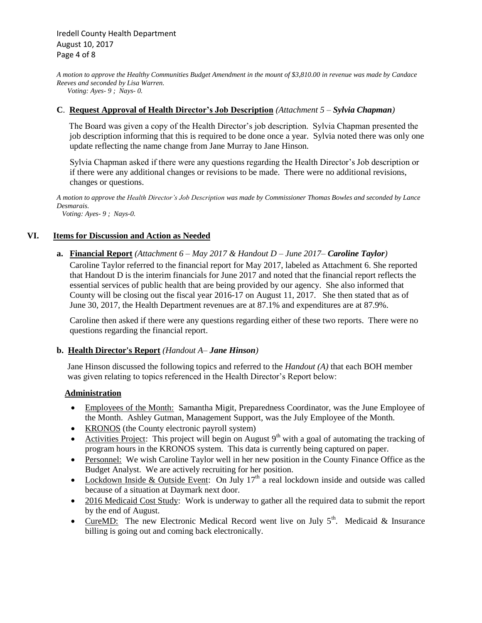*A motion to approve the Healthy Communities Budget Amendment in the mount of \$3,810.00 in revenue was made by Candace Reeves and seconded by Lisa Warren.* 

 *Voting: Ayes- 9 ; Nays- 0.*

## **C**. **Request Approval of Health Director's Job Description** *(Attachment 5 – Sylvia Chapman)*

The Board was given a copy of the Health Director's job description. Sylvia Chapman presented the job description informing that this is required to be done once a year. Sylvia noted there was only one update reflecting the name change from Jane Murray to Jane Hinson.

 Sylvia Chapman asked if there were any questions regarding the Health Director's Job description or if there were any additional changes or revisions to be made. There were no additional revisions, changes or questions.

*A motion to approve the Health Director's Job Description was made by Commissioner Thomas Bowles and seconded by Lance Desmarais.*

 *Voting: Ayes- 9 ; Nays-0.*

## **VI. Items for Discussion and Action as Needed**

**a. Financial Report** *(Attachment 6 – May 2017 & Handout D – June 2017– Caroline Taylor)* Caroline Taylor referred to the financial report for May 2017, labeled as Attachment 6. She reported that Handout D is the interim financials for June 2017 and noted that the financial report reflects the essential services of public health that are being provided by our agency. She also informed that County will be closing out the fiscal year 2016-17 on August 11, 2017. She then stated that as of June 30, 2017, the Health Department revenues are at 87.1% and expenditures are at 87.9%.

 Caroline then asked if there were any questions regarding either of these two reports. There were no questions regarding the financial report.

#### **b. Health Director's Report** *(Handout A– Jane Hinson)*

 Jane Hinson discussed the following topics and referred to the *Handout (A)* that each BOH member was given relating to topics referenced in the Health Director's Report below:

## **Administration**

- Employees of the Month: Samantha Migit, Preparedness Coordinator, was the June Employee of the Month. Ashley Gutman, Management Support, was the July Employee of the Month.
- KRONOS (the County electronic payroll system)
- Activities Project: This project will begin on August  $9<sup>th</sup>$  with a goal of automating the tracking of program hours in the KRONOS system. This data is currently being captured on paper.
- Personnel: We wish Caroline Taylor well in her new position in the County Finance Office as the Budget Analyst. We are actively recruiting for her position.
- Lockdown Inside & Outside Event: On July  $17<sup>th</sup>$  a real lockdown inside and outside was called because of a situation at Daymark next door.
- 2016 Medicaid Cost Study: Work is underway to gather all the required data to submit the report by the end of August.
- CureMD: The new Electronic Medical Record went live on July  $5<sup>th</sup>$ . Medicaid & Insurance billing is going out and coming back electronically.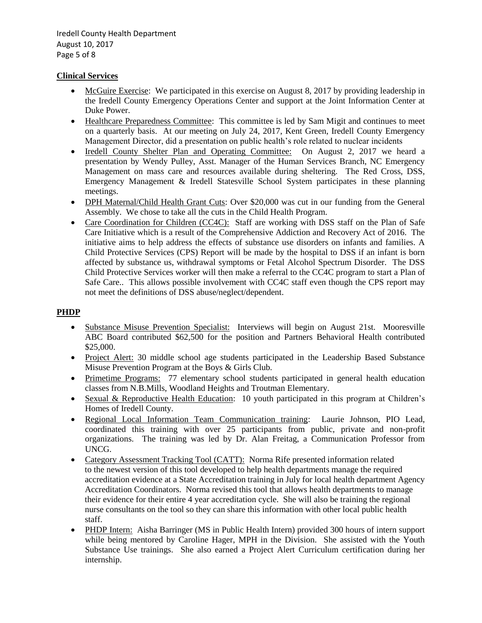Iredell County Health Department August 10, 2017 Page 5 of 8

## **Clinical Services**

- McGuire Exercise: We participated in this exercise on August 8, 2017 by providing leadership in the Iredell County Emergency Operations Center and support at the Joint Information Center at Duke Power.
- Healthcare Preparedness Committee: This committee is led by Sam Migit and continues to meet on a quarterly basis. At our meeting on July 24, 2017, Kent Green, Iredell County Emergency Management Director, did a presentation on public health's role related to nuclear incidents
- Iredell County Shelter Plan and Operating Committee: On August 2, 2017 we heard a presentation by Wendy Pulley, Asst. Manager of the Human Services Branch, NC Emergency Management on mass care and resources available during sheltering. The Red Cross, DSS, Emergency Management & Iredell Statesville School System participates in these planning meetings.
- DPH Maternal/Child Health Grant Cuts: Over \$20,000 was cut in our funding from the General Assembly. We chose to take all the cuts in the Child Health Program.
- Care Coordination for Children (CC4C): Staff are working with DSS staff on the Plan of Safe Care Initiative which is a result of the Comprehensive Addiction and Recovery Act of 2016. The initiative aims to help address the effects of substance use disorders on infants and families. A Child Protective Services (CPS) Report will be made by the hospital to DSS if an infant is born affected by substance us, withdrawal symptoms or Fetal Alcohol Spectrum Disorder. The DSS Child Protective Services worker will then make a referral to the CC4C program to start a Plan of Safe Care.. This allows possible involvement with CC4C staff even though the CPS report may not meet the definitions of DSS abuse/neglect/dependent.

## **PHDP**

- Substance Misuse Prevention Specialist: Interviews will begin on August 21st. Mooresville ABC Board contributed \$62,500 for the position and Partners Behavioral Health contributed \$25,000.
- Project Alert: 30 middle school age students participated in the Leadership Based Substance Misuse Prevention Program at the Boys & Girls Club.
- Primetime Programs: 77 elementary school students participated in general health education classes from N.B.Mills, Woodland Heights and Troutman Elementary.
- Sexual & Reproductive Health Education: 10 youth participated in this program at Children's Homes of Iredell County.
- Regional Local Information Team Communication training: Laurie Johnson, PIO Lead, coordinated this training with over 25 participants from public, private and non-profit organizations. The training was led by Dr. Alan Freitag, a Communication Professor from UNCG.
- Category Assessment Tracking Tool (CATT): Norma Rife presented information related to the newest version of this tool developed to help health departments manage the required accreditation evidence at a State Accreditation training in July for local health department Agency Accreditation Coordinators. Norma revised this tool that allows health departments to manage their evidence for their entire 4 year accreditation cycle. She will also be training the regional nurse consultants on the tool so they can share this information with other local public health staff.
- PHDP Intern: Aisha Barringer (MS in Public Health Intern) provided 300 hours of intern support while being mentored by Caroline Hager, MPH in the Division. She assisted with the Youth Substance Use trainings. She also earned a Project Alert Curriculum certification during her internship.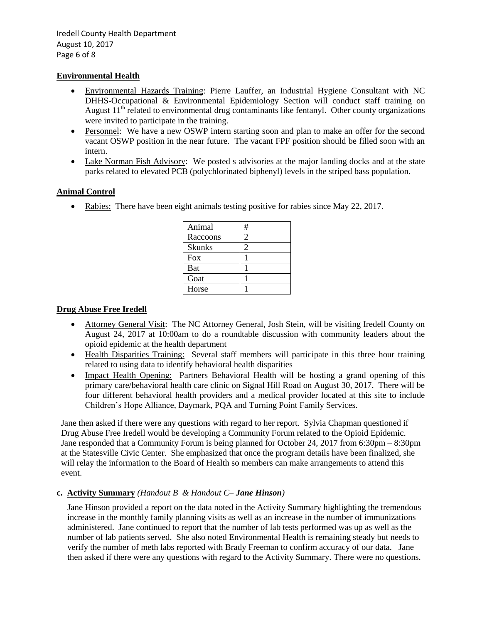## **Environmental Health**

- Environmental Hazards Training: Pierre Lauffer, an Industrial Hygiene Consultant with NC DHHS-Occupational & Environmental Epidemiology Section will conduct staff training on August  $11<sup>th</sup>$  related to environmental drug contaminants like fentanyl. Other county organizations were invited to participate in the training.
- Personnel: We have a new OSWP intern starting soon and plan to make an offer for the second vacant OSWP position in the near future. The vacant FPF position should be filled soon with an intern.
- Lake Norman Fish Advisory: We posted s advisories at the major landing docks and at the state parks related to elevated PCB (polychlorinated biphenyl) levels in the striped bass population.

## **Animal Control**

• Rabies: There have been eight animals testing positive for rabies since May 22, 2017.

| Animal        | # |
|---------------|---|
| Raccoons      | 2 |
| <b>Skunks</b> |   |
| <b>Fox</b>    |   |
| <b>Bat</b>    |   |
| Goat          |   |
| Horse         |   |

## **Drug Abuse Free Iredell**

- Attorney General Visit: The NC Attorney General, Josh Stein, will be visiting Iredell County on August 24, 2017 at 10:00am to do a roundtable discussion with community leaders about the opioid epidemic at the health department
- Health Disparities Training: Several staff members will participate in this three hour training related to using data to identify behavioral health disparities
- Impact Health Opening: Partners Behavioral Health will be hosting a grand opening of this primary care/behavioral health care clinic on Signal Hill Road on August 30, 2017. There will be four different behavioral health providers and a medical provider located at this site to include Children's Hope Alliance, Daymark, PQA and Turning Point Family Services.

 Jane then asked if there were any questions with regard to her report. Sylvia Chapman questioned if Drug Abuse Free Iredell would be developing a Community Forum related to the Opioid Epidemic. Jane responded that a Community Forum is being planned for October 24, 2017 from 6:30pm – 8:30pm at the Statesville Civic Center. She emphasized that once the program details have been finalized, she will relay the information to the Board of Health so members can make arrangements to attend this event.

## **c. Activity Summary** *(Handout B & Handout C– Jane Hinson)*

Jane Hinson provided a report on the data noted in the Activity Summary highlighting the tremendous increase in the monthly family planning visits as well as an increase in the number of immunizations administered. Jane continued to report that the number of lab tests performed was up as well as the number of lab patients served. She also noted Environmental Health is remaining steady but needs to verify the number of meth labs reported with Brady Freeman to confirm accuracy of our data. Jane then asked if there were any questions with regard to the Activity Summary. There were no questions.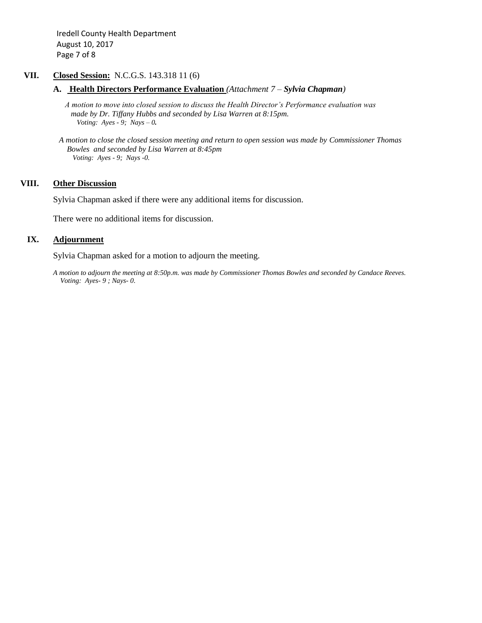Iredell County Health Department August 10, 2017 Page 7 of 8

## **VII. Closed Session:** N.C.G.S. 143.318 11 (6)

**A. Health Directors Performance Evaluation** *(Attachment 7 – Sylvia Chapman)*

 *A motion to move into closed session to discuss the Health Director's Performance evaluation was made by Dr. Tiffany Hubbs and seconded by Lisa Warren at 8:15pm.* *Voting: Ayes - 9; Nays – 0.*

 *A motion to close the closed session meeting and return to open session was made by Commissioner Thomas Bowles and seconded by Lisa Warren at 8:45pm Voting: Ayes - 9; Nays -0.*

#### **VIII. Other Discussion**

Sylvia Chapman asked if there were any additional items for discussion.

There were no additional items for discussion.

## IX. **Adjournment**

Sylvia Chapman asked for a motion to adjourn the meeting.

*A motion to adjourn the meeting at 8:50p.m. was made by Commissioner Thomas Bowles and seconded by Candace Reeves. Voting: Ayes- 9 ; Nays- 0.*